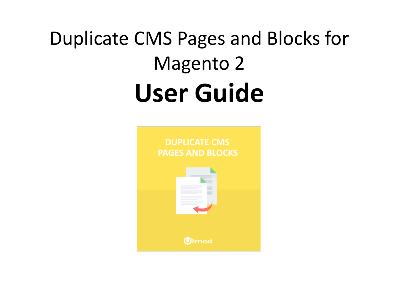# Duplicate CMS Pages and Blocks for Magento 2 **User Guide**

**DUPLICATE CMS PAGES AND BLOCKS** 

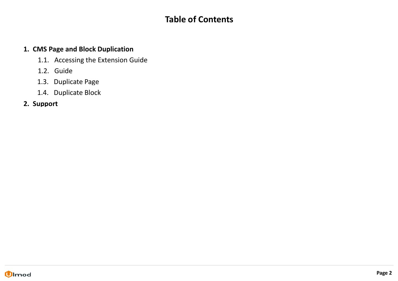## **Table of Contents**

## **[1. CMS Page and Block Duplication](#page-2-0)**

- [1.1. Accessing the Extension Guide](#page-3-0)
- [1.2. Guide](#page-4-0)
- [1.3. Duplicate Page](#page-5-0)
- [1.4. Duplicate Block](#page-7-0)
- **[2. Support](#page-9-0)**

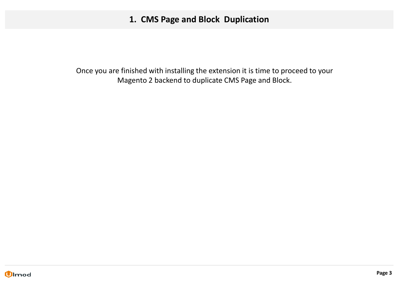## **1. CMS Page and Block Duplication**

<span id="page-2-0"></span>Once you are finished with installing the extension it is time to proceed to your Magento 2 backend to duplicate CMS Page and Block.

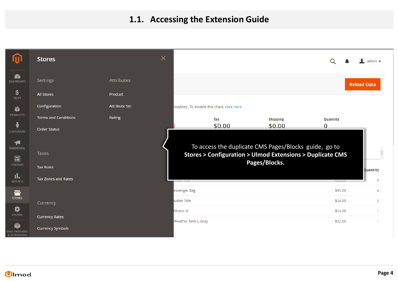## **1.1. Accessing the Extension Guide**

<span id="page-3-0"></span>

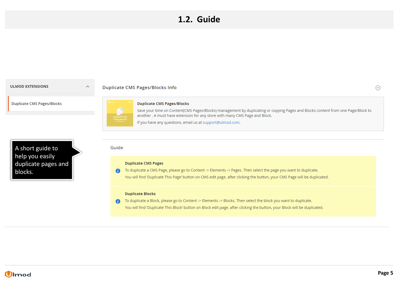## **1.2. Guide**

#### <span id="page-4-0"></span>**ULMOD EXTENSIONS**

#### **Duplicate CMS Pages/Blocks Info**

**Duplicate CMS Pages/Blocks** 



Guide

 $\widehat{\phantom{1}}$ 

#### **Duplicate CMS Pages/Blocks**

Save your time on Content(CMS Pages/Blocks) management by duplicating or copying Pages and Blocks content from one Page/Block to another. A must have extension for any store with many CMS Page and Block. If you have any questions, email us at support@ulmod.com.

A short guide to help you easily duplicate pages and blocks.

#### **Duplicate CMS Pages**

**6** To duplicate a CMS Page, please go to Content -> Elements -> Pages. Then select the page you want to duplicate. You will find 'Duplicate This Page' button on CMS edit page. after clicking the button, your CMS Page will be duplicated.

#### **Duplicate Blocks**

To duplicate a Block, please go to Content -> Elements -> Blocks. Then select the block you want to duplicate.  $\bullet$ You will find 'Duplicate This Block' button on Block edit page. after clicking the button, your Block will be duplicated.



ര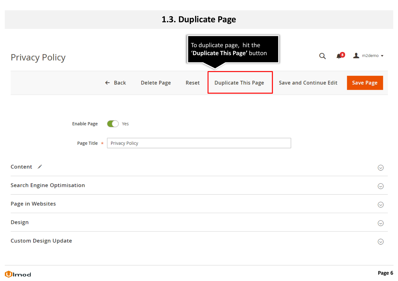## **1.3. Duplicate Page**

<span id="page-5-0"></span>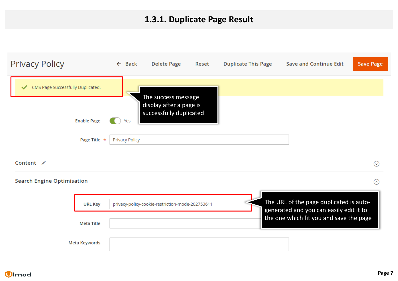# **1.3.1. Duplicate Page Result**

| <b>Privacy Policy</b>                                                        | $\leftarrow$ Back            | <b>Delete Page</b>                                                        | Reset | <b>Duplicate This Page</b> | <b>Save and Continue Edit</b>                                                                                                 | <b>Save Page</b> |
|------------------------------------------------------------------------------|------------------------------|---------------------------------------------------------------------------|-------|----------------------------|-------------------------------------------------------------------------------------------------------------------------------|------------------|
| CMS Page Successfully Duplicated.<br>✓<br><b>Enable Page</b><br>Page Title * | Yes<br><b>Privacy Policy</b> | The success message<br>display after a page is<br>successfully duplicated |       |                            |                                                                                                                               |                  |
| Content /                                                                    |                              |                                                                           |       |                            |                                                                                                                               | $\odot$          |
| <b>Search Engine Optimisation</b>                                            |                              |                                                                           |       |                            |                                                                                                                               | ⊙                |
| <b>URL Key</b>                                                               |                              | privacy-policy-cookie-restriction-mode-202753611                          |       |                            | The URL of the page duplicated is auto-<br>generated and you can easily edit it to<br>the one which fit you and save the page |                  |
| <b>Meta Title</b>                                                            |                              |                                                                           |       |                            |                                                                                                                               |                  |
| Meta Keywords                                                                |                              |                                                                           |       |                            |                                                                                                                               |                  |

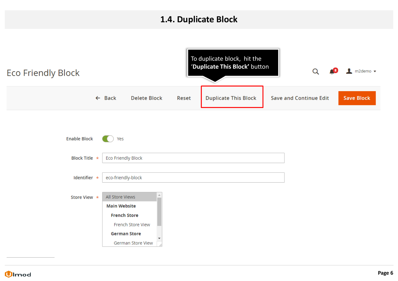## **1.4. Duplicate Block**

<span id="page-7-0"></span>

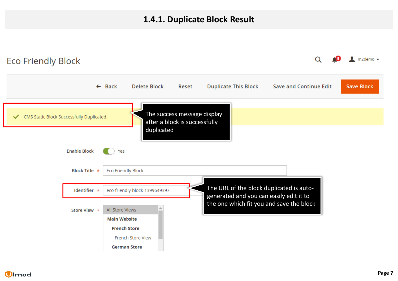## **1.4.1. Duplicate Block Result**